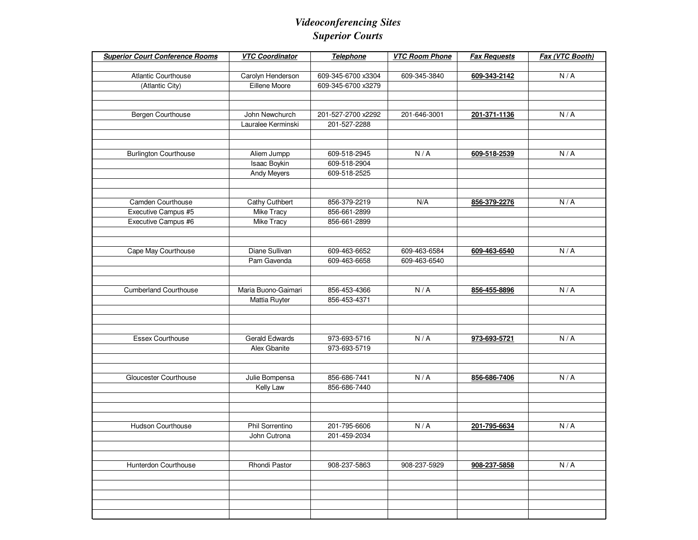## *Videoconferencing Sites Superior Courts*

| <b>Superior Court Conference Rooms</b> | <b>VTC Coordinator</b> | Telephone          | <b>VTC Room Phone</b> | <b>Fax Requests</b> | Fax (VTC Booth) |
|----------------------------------------|------------------------|--------------------|-----------------------|---------------------|-----------------|
|                                        |                        |                    |                       |                     |                 |
| <b>Atlantic Courthouse</b>             | Carolyn Henderson      | 609-345-6700 x3304 | 609-345-3840          | 609-343-2142        | N/A             |
| (Atlantic City)                        | Eillene Moore          | 609-345-6700 x3279 |                       |                     |                 |
|                                        |                        |                    |                       |                     |                 |
|                                        | John Newchurch         | 201-527-2700 x2292 |                       |                     |                 |
| Bergen Courthouse                      | Lauralee Kerminski     | 201-527-2288       | 201-646-3001          | 201-371-1136        | N/A             |
|                                        |                        |                    |                       |                     |                 |
|                                        |                        |                    |                       |                     |                 |
| <b>Burlington Courthouse</b>           | Aliem Jumpp            | 609-518-2945       | N/A                   | 609-518-2539        | N/A             |
|                                        | Isaac Boykin           | 609-518-2904       |                       |                     |                 |
|                                        | <b>Andy Meyers</b>     | 609-518-2525       |                       |                     |                 |
|                                        |                        |                    |                       |                     |                 |
|                                        |                        |                    |                       |                     |                 |
| Camden Courthouse                      | Cathy Cuthbert         | 856-379-2219       | N/A                   | 856-379-2276        | N/A             |
| Executive Campus #5                    | Mike Tracy             | 856-661-2899       |                       |                     |                 |
| Executive Campus #6                    | <b>Mike Tracy</b>      | 856-661-2899       |                       |                     |                 |
|                                        |                        |                    |                       |                     |                 |
| Cape May Courthouse                    | Diane Sullivan         | 609-463-6652       | 609-463-6584          | 609-463-6540        | N/A             |
|                                        | Pam Gavenda            | 609-463-6658       | 609-463-6540          |                     |                 |
|                                        |                        |                    |                       |                     |                 |
|                                        |                        |                    |                       |                     |                 |
| <b>Cumberland Courthouse</b>           | Maria Buono-Gaimari    | 856-453-4366       | N/A                   | 856-455-8896        | N/A             |
|                                        | Mattia Ruyter          | 856-453-4371       |                       |                     |                 |
|                                        |                        |                    |                       |                     |                 |
|                                        |                        |                    |                       |                     |                 |
|                                        |                        |                    |                       |                     |                 |
| <b>Essex Courthouse</b>                | <b>Gerald Edwards</b>  | 973-693-5716       | N/A                   | 973-693-5721        | N/A             |
|                                        | Alex Gbanite           | 973-693-5719       |                       |                     |                 |
|                                        |                        |                    |                       |                     |                 |
| Gloucester Courthouse                  | Julie Bompensa         | 856-686-7441       | N/A                   | 856-686-7406        | N/A             |
|                                        | Kelly Law              | 856-686-7440       |                       |                     |                 |
|                                        |                        |                    |                       |                     |                 |
|                                        |                        |                    |                       |                     |                 |
|                                        |                        |                    |                       |                     |                 |
| <b>Hudson Courthouse</b>               | Phil Sorrentino        | 201-795-6606       | N/A                   | 201-795-6634        | N/A             |
|                                        | John Cutrona           | 201-459-2034       |                       |                     |                 |
|                                        |                        |                    |                       |                     |                 |
| Hunterdon Courthouse                   | Rhondi Pastor          | 908-237-5863       | 908-237-5929          | 908-237-5858        | N/A             |
|                                        |                        |                    |                       |                     |                 |
|                                        |                        |                    |                       |                     |                 |
|                                        |                        |                    |                       |                     |                 |
|                                        |                        |                    |                       |                     |                 |
|                                        |                        |                    |                       |                     |                 |